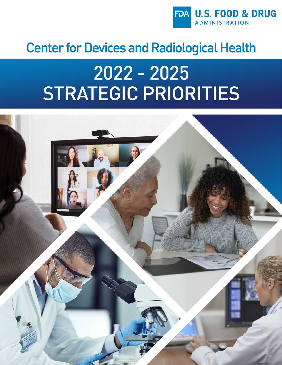

# **Center for Devices and Radiological Health**

# 2022 - 2025 **STRATEGIC PRIORITIES**

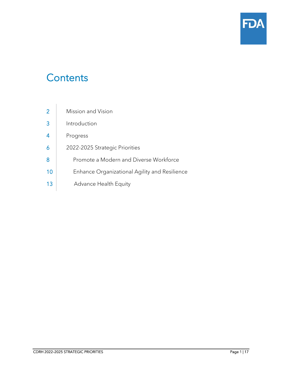

# **Contents**

| $\overline{2}$ | Mission and Vision                            |
|----------------|-----------------------------------------------|
| $\overline{3}$ | Introduction                                  |
| $\overline{4}$ | Progress                                      |
| $\overline{6}$ | 2022-2025 Strategic Priorities                |
| 8              | Promote a Modern and Diverse Workforce        |
| 10             | Enhance Organizational Agility and Resilience |
| 13             | <b>Advance Health Equity</b>                  |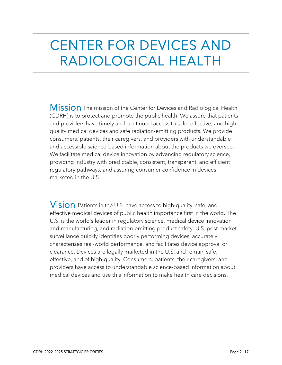# CENTER FOR DEVICES AND RADIOLOGICAL HEALTH

Mission The mission of the Center for Devices and Radiological Health (CDRH) is to protect and promote the public health. We assure that patients and providers have timely and continued access to safe, effective, and highquality medical devices and safe radiation-emitting products. We provide consumers, patients, their caregivers, and providers with understandable and accessible science-based information about the products we oversee. We facilitate medical device innovation by advancing regulatory science, providing industry with predictable, consistent, transparent, and efficient regulatory pathways, and assuring consumer confidence in devices marketed in the U.S.

 $V$ ision Patients in the U.S. have access to high-quality, safe, and effective medical devices of public health importance first in the world. The U.S. is the world's leader in regulatory science, medical device innovation and manufacturing, and radiation-emitting product safety. U.S. post-market surveillance quickly identifies poorly performing devices, accurately characterizes real-world performance, and facilitates device approval or clearance. Devices are legally marketed in the U.S. and remain safe, effective, and of high-quality. Consumers, patients, their caregivers, and providers have access to understandable science-based information about medical devices and use this information to make health care decisions.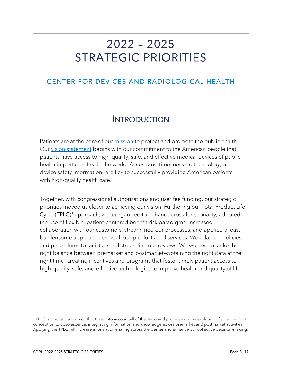# 2022 – 2025 STRATEGIC PRIORITIES

#### CENTER FOR DEVICES AND RADIOLOGICAL HEALTH

### INTRODUCTION

Patients are at the core of our *mission* to protect and promote the public health. Our [vision statement](https://www.fda.gov/about-fda/center-devices-and-radiological-health/cdrh-mission-vision-and-shared-values) begins with our commitment to the American people that patients have access to high-quality, safe, and effective medical devices of public health importance first in the world. Access and timeliness—to technology and device safety information—are key to successfully providing American patients with high-quality health care.

Together, with congressional authorizations and user fee funding, our strategic priorities moved us closer to achieving our vision. Furthering our Total Product Life Cycle (TPLC)<sup>[1](#page-3-0)</sup> approach, we reorganized to enhance cross-functionality, adopted the use of flexible, patient-centered benefit-risk paradigms, increased collaboration with our customers, streamlined our processes, and applied a least burdensome approach across all our products and services. We adapted policies and procedures to facilitate and streamline our reviews. We worked to strike the right balance between premarket and postmarket—obtaining the right data at the right time—creating incentives and programs that foster timely patient access to high-quality, safe, and effective technologies to improve health and quality of life.

<span id="page-3-0"></span><sup>1</sup> TPLC is a holistic approach that takes into account all of the steps and processes in the evolution of a device from conception to obsolescence, integrating information and knowledge across premarket and postmarket activities. Applying the TPLC will increase information-sharing across the Center and enhance our collective decision-making.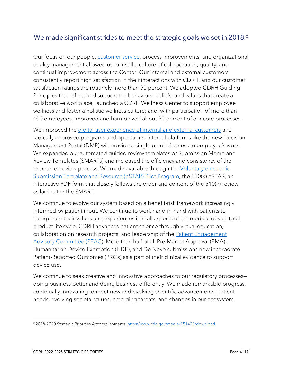#### We made significant strides to meet the strategic goals we set in 2018. [2](#page-4-0)

Our focus on our people, [customer service,](https://www.fda.gov/about-fda/center-devices-and-radiological-health/cdrh-customer-service) process improvements, and organizational quality management allowed us to instill a culture of collaboration, quality, and continual improvement across the Center. Our internal and external customers consistently report high satisfaction in their interactions with CDRH, and our customer satisfaction ratings are routinely more than 90 percent. We adopted CDRH Guiding Principles that reflect and support the behaviors, beliefs, and values that create a collaborative workplace; launched a CDRH Wellness Center to support employee wellness and foster a holistic wellness culture; and, with participation of more than 400 employees, improved and harmonized about 90 percent of our core processes.

We improved the digital user experience of [internal and external customers](https://www.fda.gov/news-events/fda-voices/how-cdrhs-digital-transformation-initiative-will-strengthen-premarket-review-program) and radically improved programs and operations. Internal platforms like the new Decision Management Portal (DMP) will provide a single point of access to employee's work. We expanded our automated guided review templates or Submission Memo and Review Templates (SMARTs) and increased the efficiency and consistency of the premarket review process. We made available through the Voluntary electronic [Submission Template and Resource \(eSTAR\) Pilot Program,](https://www.fda.gov/medical-devices/premarket-notification-510k/voluntary-estar-program) the 510(k) eSTAR, an interactive PDF form that closely follows the order and content of the 510(k) review as laid out in the SMART.

We continue to evolve our system based on a benefit-risk framework increasingly informed by patient input. We continue to work hand-in-hand with patients to incorporate their values and experiences into all aspects of the medical device total product life cycle. CDRH advances patient science through virtual education, collaboration on research projects, and leadership of the **[Patient Engagement](https://www.fda.gov/about-fda/cdrh-patient-science-and-engagement-program/cdrh-patient-engagement-advisory-committee)** [Advisory Committee \(PEAC\)](https://www.fda.gov/about-fda/cdrh-patient-science-and-engagement-program/cdrh-patient-engagement-advisory-committee). More than half of all Pre-Market Approval (PMA), Humanitarian Device Exemption (HDE), and De Novo submissions now incorporate Patient-Reported Outcomes (PROs) as a part of their clinical evidence to support device use.

We continue to seek creative and innovative approaches to our regulatory processesdoing business better and doing business differently. We made remarkable progress, continually innovating to meet new and evolving scientific advancements, patient needs, evolving societal values, emerging threats, and changes in our ecosystem.

<span id="page-4-0"></span><sup>&</sup>lt;sup>2</sup> 2018-2020 Strategic Priorities Accomplishments, <https://www.fda.gov/media/151423/download>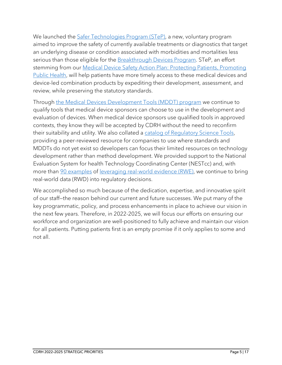We launched the [Safer Technologies Program \(STeP\),](https://www.fda.gov/medical-devices/how-study-and-market-your-device/safer-technologies-program-step-medical-devices) a new, voluntary program aimed to improve the safety of currently available treatments or diagnostics that target an underlying disease or condition associated with morbidities and mortalities less serious than those eligible for the **Breakthrough Devices Program**. STeP, an effort stemming from our **Medical Device Safety Action Plan: Protecting Patients, Promoting** [Public Health,](https://www.fda.gov/media/112497/download) will help patients have more timely access to these medical devices and device-led combination products by expediting their development, assessment, and review, while preserving the statutory standards.

Through [the Medical Devices Development Tools \(MDDT\) program](https://www.fda.gov/medical-devices/science-and-research-medical-devices/medical-device-development-tools-mddt) we continue to qualify tools that medical device sponsors can choose to use in the development and evaluation of devices. When medical device sponsors use qualified tools in approved contexts, they know they will be accepted by CDRH without the need to reconfirm their suitability and utility. We also collated a [catalog of Regulatory Science Tools,](https://www.fda.gov/medical-devices/science-and-research-medical-devices/catalog-regulatory-science-tools-help-assess-new-medical-devices) providing a peer-reviewed resource for companies to use where standards and MDDTs do not yet exist so developers can focus their limited resources on technology development rather than method development. We provided support to the National Evaluation System for health Technology Coordinating Center [\(NESTcc\)](https://www.nestcc.org/) and, with more than <u>90 examples</u> of <u>leveraging real-world evidence (RWE)</u>, we continue to bring real-world data (RWD) into regulatory decisions.

We accomplished so much because of the dedication, expertise, and innovative spirit of our staff—the reason behind our current and future successes. We put many of the key programmatic, policy, and process enhancements in place to achieve our vision in the next few years. Therefore, in 2022-2025, we will focus our efforts on ensuring our workforce and organization are well-positioned to fully achieve and maintain our vision for all patients. Putting patients first is an empty promise if it only applies to some and not all.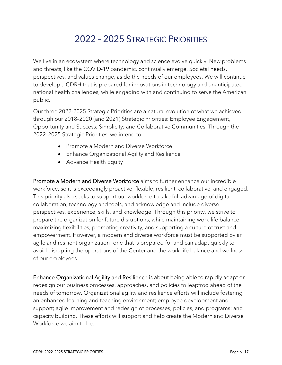## 2022 – 2025 STRATEGIC PRIORITIES

We live in an ecosystem where technology and science evolve quickly. New problems and threats, like the COVID-19 pandemic, continually emerge. Societal needs, perspectives, and values change, as do the needs of our employees. We will continue to develop a CDRH that is prepared for innovations in technology and unanticipated national health challenges, while engaging with and continuing to serve the American public.

Our three 2022-2025 Strategic Priorities are a natural evolution of what we achieved through our 2018–2020 (and 2021) Strategic Priorities: Employee Engagement, Opportunity and Success; Simplicity; and Collaborative Communities. Through the 2022–2025 Strategic Priorities, we intend to:

- Promote a Modern and Diverse Workforce
- Enhance Organizational Agility and Resilience
- Advance Health Equity

Promote a Modern and Diverse Workforce aims to further enhance our incredible workforce, so it is exceedingly proactive, flexible, resilient, collaborative, and engaged. This priority also seeks to support our workforce to take full advantage of digital collaboration, technology and tools, and acknowledge and include diverse perspectives, experience, skills, and knowledge. Through this priority, we strive to prepare the organization for future disruptions, while maintaining work-life balance, maximizing flexibilities, promoting creativity, and supporting a culture of trust and empowerment. However, a modern and diverse workforce must be supported by an agile and resilient organization—one that is prepared for and can adapt quickly to avoid disrupting the operations of the Center and the work-life balance and wellness of our employees.

Enhance Organizational Agility and Resilience is about being able to rapidly adapt or redesign our business processes, approaches, and policies to leapfrog ahead of the needs of tomorrow. Organizational agility and resilience efforts will include fostering an enhanced learning and teaching environment; employee development and support; agile improvement and redesign of processes, policies, and programs; and capacity building. These efforts will support and help create the Modern and Diverse Workforce we aim to be.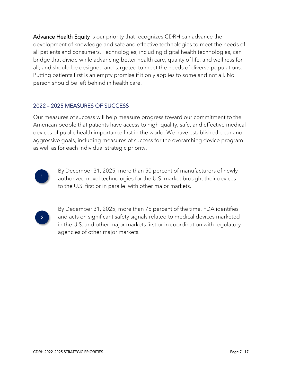Advance Health Equity is our priority that recognizes CDRH can advance the development of knowledge and safe and effective technologies to meet the needs of all patients and consumers. Technologies, including digital health technologies, can bridge that divide while advancing better health care, quality of life, and wellness for all; and should be designed and targeted to meet the needs of diverse populations. Putting patients first is an empty promise if it only applies to some and not all. No person should be left behind in health care.

#### 2022 – 2025 MEASURES OF SUCCESS

Our measures of success will help measure progress toward our commitment to the American people that patients have access to high-quality, safe, and effective medical devices of public health importance first in the world. We have established clear and aggressive goals, including measures of success for the overarching device program as well as for each individual strategic priority.



By December 31, 2025, more than 50 percent of manufacturers of newly authorized novel technologies for the U.S. market brought their devices to the U.S. first or in parallel with other major markets.



By December 31, 2025, more than 75 percent of the time, FDA identifies and acts on significant safety signals related to medical devices marketed in the U.S. and other major markets first or in coordination with regulatory agencies of other major markets.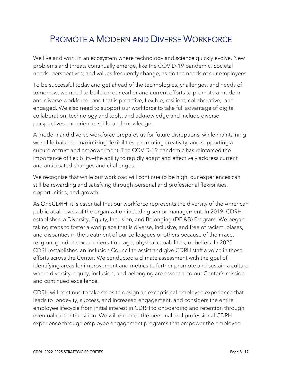### PROMOTE A MODERN AND DIVERSE WORKFORCE

We live and work in an ecosystem where technology and science quickly evolve. New problems and threats continually emerge, like the COVID-19 pandemic. Societal needs, perspectives, and values frequently change, as do the needs of our employees.

To be successful today and get ahead of the technologies, challenges, and needs of tomorrow, we need to build on our earlier and current efforts to promote a modern and diverse workforce—one that is proactive, flexible, resilient, collaborative, and engaged. We also need to support our workforce to take full advantage of digital collaboration, technology and tools, and acknowledge and include diverse perspectives, experience, skills, and knowledge.

A modern and diverse workforce prepares us for future disruptions, while maintaining work-life balance, maximizing flexibilities, promoting creativity, and supporting a culture of trust and empowerment. The COVID-19 pandemic has reinforced the importance of flexibility—the ability to rapidly adapt and effectively address current and anticipated changes and challenges.

We recognize that while our workload will continue to be high, our experiences can still be rewarding and satisfying through personal and professional flexibilities, opportunities, and growth.

As OneCDRH, it is essential that our workforce represents the diversity of the American public at all levels of the organization including senior management. In 2019, CDRH established a Diversity, Equity, Inclusion, and Belonging (DEI&B) Program. We began taking steps to foster a workplace that is diverse, inclusive, and free of racism, biases, and disparities in the treatment of our colleagues or others because of their race, religion, gender, sexual orientation, age, physical capabilities, or beliefs. In 2020, CDRH established an Inclusion Council to assist and give CDRH staff a voice in these efforts across the Center. We conducted a climate assessment with the goal of identifying areas for improvement and metrics to further promote and sustain a culture where diversity, equity, inclusion, and belonging are essential to our Center's mission and continued excellence.

CDRH will continue to take steps to design an exceptional employee experience that leads to longevity, success, and increased engagement, and considers the entire employee lifecycle from initial interest in CDRH to onboarding and retention through eventual career transition. We will enhance the personal and professional CDRH experience through employee engagement programs that empower the employee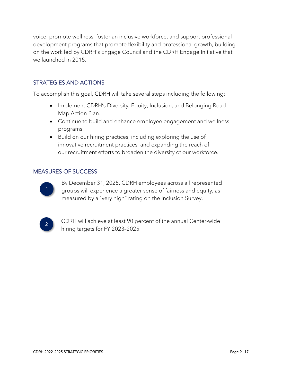voice, promote wellness, foster an inclusive workforce, and support professional development programs that promote flexibility and professional growth, building on the work led by CDRH's Engage Council and the CDRH Engage Initiative that we launched in 2015.

#### STRATEGIES AND ACTIONS

To accomplish this goal, CDRH will take several steps including the following:

- Implement CDRH's Diversity, Equity, Inclusion, and Belonging Road Map Action Plan.
- Continue to build and enhance employee engagement and wellness programs.
- Build on our hiring practices, including exploring the use of innovative recruitment practices, and expanding the reach of our recruitment efforts to broaden the diversity of our workforce.

#### MEASURES OF SUCCESS



By December 31, 2025, CDRH employees across all represented groups will experience a greater sense of fairness and equity, as measured by a "very high" rating on the Inclusion Survey.



CDRH will achieve at least 90 percent of the annual Center-wide hiring targets for FY 2023–2025.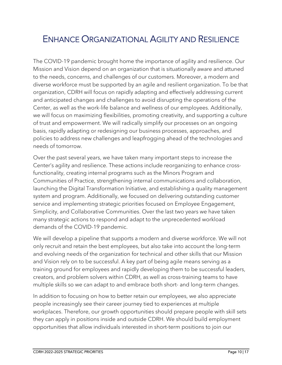### ENHANCE ORGANIZATIONAL AGILITY AND RESILIENCE

The COVID-19 pandemic brought home the importance of agility and resilience. Our Mission and Vision depend on an organization that is situationally aware and attuned to the needs, concerns, and challenges of our customers. Moreover, a modern and diverse workforce must be supported by an agile and resilient organization. To be that organization, CDRH will focus on rapidly adapting and effectively addressing current and anticipated changes and challenges to avoid disrupting the operations of the Center, as well as the work-life balance and wellness of our employees. Additionally, we will focus on maximizing flexibilities, promoting creativity, and supporting a culture of trust and empowerment. We will radically simplify our processes on an ongoing basis, rapidly adapting or redesigning our business processes, approaches, and policies to address new challenges and leapfrogging ahead of the technologies and needs of tomorrow.

Over the past several years, we have taken many important steps to increase the Center's agility and resilience. These actions include reorganizing to enhance crossfunctionality, creating internal programs such as the Minors Program and Communities of Practice, strengthening internal communications and collaboration, launching the Digital Transformation Initiative, and establishing a quality management system and program. Additionally, we focused on delivering outstanding customer service and implementing strategic priorities focused on Employee Engagement, Simplicity, and Collaborative Communities. Over the last two years we have taken many strategic actions to respond and adapt to the unprecedented workload demands of the COVID-19 pandemic.

We will develop a pipeline that supports a modern and diverse workforce. We will not only recruit and retain the best employees, but also take into account the long-term and evolving needs of the organization for technical and other skills that our Mission and Vision rely on to be successful. A key part of being agile means serving as a training ground for employees and rapidly developing them to be successful leaders, creators, and problem solvers within CDRH, as well as cross-training teams to have multiple skills so we can adapt to and embrace both short- and long-term changes.

In addition to focusing on how to better retain our employees, we also appreciate people increasingly see their career journey tied to experiences at multiple workplaces. Therefore, our growth opportunities should prepare people with skill sets they can apply in positions inside and outside CDRH. We should build employment opportunities that allow individuals interested in short-term positions to join our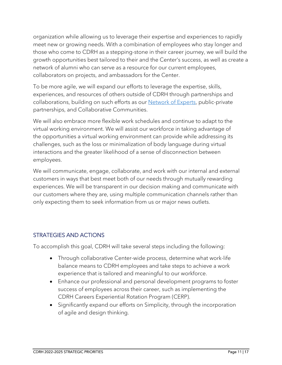organization while allowing us to leverage their expertise and experiences to rapidly meet new or growing needs. With a combination of employees who stay longer and those who come to CDRH as a stepping-stone in their career journey, we will build the growth opportunities best tailored to their and the Center's success, as well as create a network of alumni who can serve as a resource for our current employees, collaborators on projects, and ambassadors for the Center.

To be more agile, we will expand our efforts to leverage the expertise, skills, experiences, and resources of others outside of CDRH through partnerships and collaborations, building on such efforts as our **Network of Experts**, public-private partnerships, and Collaborative Communities.

We will also embrace more flexible work schedules and continue to adapt to the virtual working environment. We will assist our workforce in taking advantage of the opportunities a virtual working environment can provide while addressing its challenges, such as the loss or minimalization of body language during virtual interactions and the greater likelihood of a sense of disconnection between employees.

We will communicate, engage, collaborate, and work with our internal and external customers in ways that best meet both of our needs through mutually rewarding experiences. We will be transparent in our decision making and communicate with our customers where they are, using multiple communication channels rather than only expecting them to seek information from us or major news outlets.

#### STRATEGIES AND ACTIONS

To accomplish this goal, CDRH will take several steps including the following:

- Through collaborative Center-wide process, determine what work-life balance means to CDRH employees and take steps to achieve a work experience that is tailored and meaningful to our workforce.
- Enhance our professional and personal development programs to foster success of employees across their career, such as implementing the CDRH Careers Experiential Rotation Program (CERP).
- Significantly expand our efforts on Simplicity, through the incorporation of agile and design thinking.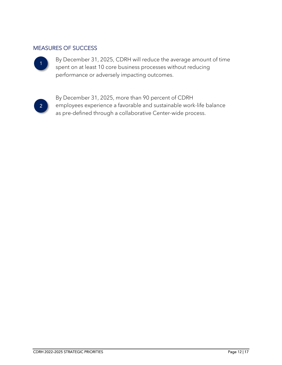#### MEASURES OF SUCCESS



By December 31, 2025, CDRH will reduce the average amount of time spent on at least 10 core business processes without reducing performance or adversely impacting outcomes.



By December 31, 2025, more than 90 percent of CDRH employees experience a favorable and sustainable work-life balance as pre-defined through a collaborative Center-wide process.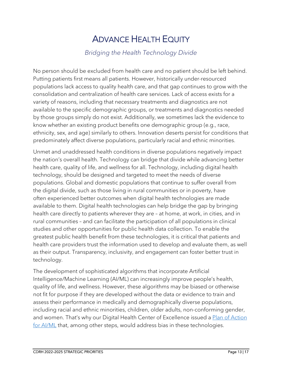### ADVANCE HEALTH EQUITY

#### *Bridging the Health Technology Divide*

No person should be excluded from health care and no patient should be left behind. Putting patients first means all patients. However, historically under-resourced populations lack access to quality health care, and that gap continues to grow with the consolidation and centralization of health care services. Lack of access exists for a variety of reasons, including that necessary treatments and diagnostics are not available to the specific demographic groups, or treatments and diagnostics needed by those groups simply do not exist. Additionally, we sometimes lack the evidence to know whether an existing product benefits one demographic group (e.g., race, ethnicity, sex, and age) similarly to others. Innovation deserts persist for conditions that predominately affect diverse populations, particularly racial and ethnic minorities.

Unmet and unaddressed health conditions in diverse populations negatively impact the nation's overall health. Technology can bridge that divide while advancing better health care, quality of life, and wellness for all. Technology, including digital health technology, should be designed and targeted to meet the needs of diverse populations. Global and domestic populations that continue to suffer overall from the digital divide, such as those living in rural communities or in poverty, have often experienced better outcomes when digital health technologies are made available to them. Digital health technologies can help bridge the gap by bringing health care directly to patients wherever they are – at home, at work, in cities, and in rural communities – and can facilitate the participation of all populations in clinical studies and other opportunities for public health data collection. To enable the greatest public health benefit from these technologies, it is critical that patients and health care providers trust the information used to develop and evaluate them, as well as their output. Transparency, inclusivity, and engagement can foster better trust in technology.

The development of sophisticated algorithms that incorporate Artificial Intelligence/Machine Learning (AI/ML) can increasingly improve people's health, quality of life, and wellness. However, these algorithms may be biased or otherwise not fit for purpose if they are developed without the data or evidence to train and assess their performance in medically and demographically diverse populations, including racial and ethnic minorities, children, older adults, non-conforming gender, and women. That's why our Digital Health Center of Excellence issued a Plan of Action [for AI/ML](https://www.fda.gov/about-fda/center-devices-and-radiological-health/network-experts-program-connecting-fda-external-expertise) that, among other steps, would address bias in these technologies.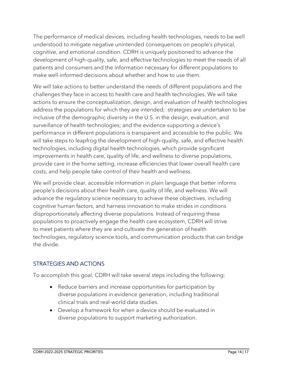The performance of medical devices, including health technologies, needs to be well understood to mitigate negative unintended consequences on people's physical, cognitive, and emotional condition. CDRH is uniquely positioned to advance the development of high-quality, safe, and effective technologies to meet the needs of all patients and consumers and the information necessary for different populations to make well-informed decisions about whether and how to use them.

We will take actions to better understand the needs of different populations and the challenges they face in access to health care and health technologies. We will take actions to ensure the conceptualization, design, and evaluation of health technologies address the populations for which they are intended; strategies are undertaken to be inclusive of the demographic diversity in the U.S. in the design, evaluation, and surveillance of health technologies; and the evidence supporting a device's performance in different populations is transparent and accessible to the public. We will take steps to leapfrog the development of high-quality, safe, and effective health technologies, including digital health technologies, which provide significant improvements in health care, quality of life, and wellness to diverse populations, provide care in the home setting, increase efficiencies that lower overall health care costs, and help people take control of their health and wellness.

We will provide clear, accessible information in plain language that better informs people's decisions about their health care, quality of life, and wellness. We will advance the regulatory science necessary to achieve these objectives, including cognitive human factors, and harness innovation to make strides in conditions disproportionately affecting diverse populations. Instead of requiring these populations to proactively engage the health care ecosystem, CDRH will strive to meet patients where they are and cultivate the generation of health technologies, regulatory science tools, and communication products that can bridge the divide.

#### STRATEGIES AND ACTIONS

To accomplish this goal, CDRH will take several steps including the following:

- Reduce barriers and increase opportunities for participation by diverse populations in evidence generation, including traditional clinical trials and real-world data studies.
- Develop a framework for when a device should be evaluated in diverse populations to support marketing authorization.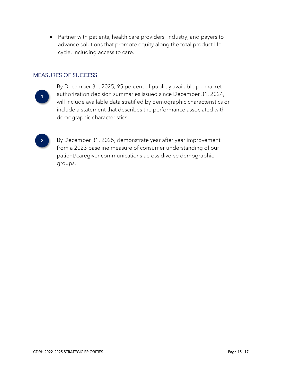• Partner with patients, health care providers, industry, and payers to advance solutions that promote equity along the total product life cycle, including access to care.

#### MEASURES OF SUCCESS



By December 31, 2025, 95 percent of publicly available premarket authorization decision summaries issued since December 31, 2024, will include available data stratified by demographic characteristics or include a statement that describes the performance associated with demographic characteristics.

#### 2

By December 31, 2025, demonstrate year after year improvement from a 2023 baseline measure of consumer understanding of our patient/caregiver communications across diverse demographic groups.